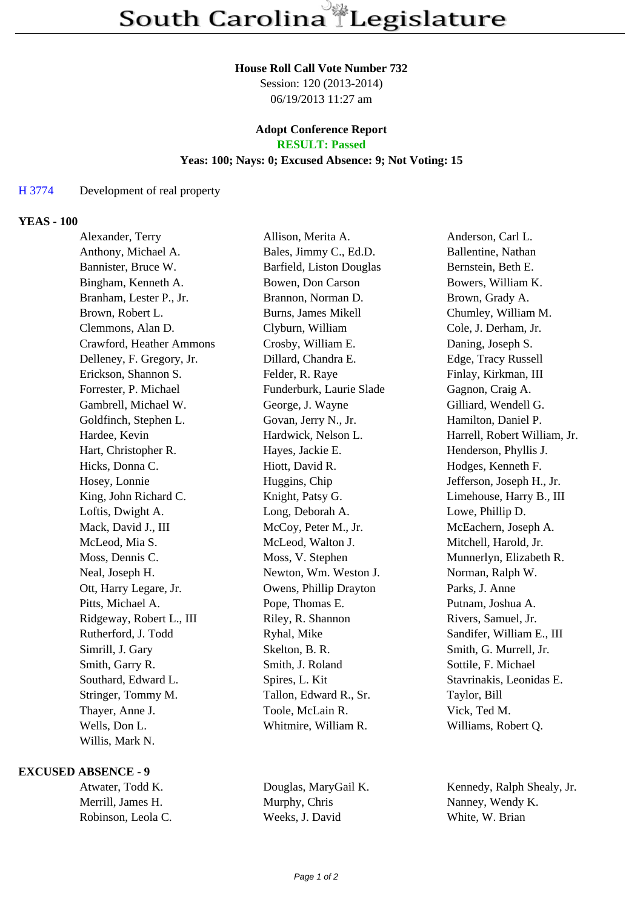#### **House Roll Call Vote Number 732**

Session: 120 (2013-2014) 06/19/2013 11:27 am

# **Adopt Conference Report**

## **RESULT: Passed**

### **Yeas: 100; Nays: 0; Excused Absence: 9; Not Voting: 15**

#### H 3774 Development of real property

#### **YEAS - 100**

| Alexander, Terry          | Allison, Merita A.         | Anderson, Carl L.            |
|---------------------------|----------------------------|------------------------------|
| Anthony, Michael A.       | Bales, Jimmy C., Ed.D.     | Ballentine, Nathan           |
| Bannister, Bruce W.       | Barfield, Liston Douglas   | Bernstein, Beth E.           |
| Bingham, Kenneth A.       | Bowen, Don Carson          | Bowers, William K.           |
| Branham, Lester P., Jr.   | Brannon, Norman D.         | Brown, Grady A.              |
| Brown, Robert L.          | <b>Burns, James Mikell</b> | Chumley, William M.          |
| Clemmons, Alan D.         | Clyburn, William           | Cole, J. Derham, Jr.         |
| Crawford, Heather Ammons  | Crosby, William E.         | Daning, Joseph S.            |
| Delleney, F. Gregory, Jr. | Dillard, Chandra E.        | Edge, Tracy Russell          |
| Erickson, Shannon S.      | Felder, R. Raye            | Finlay, Kirkman, III         |
| Forrester, P. Michael     | Funderburk, Laurie Slade   | Gagnon, Craig A.             |
| Gambrell, Michael W.      | George, J. Wayne           | Gilliard, Wendell G.         |
| Goldfinch, Stephen L.     | Govan, Jerry N., Jr.       | Hamilton, Daniel P.          |
| Hardee, Kevin             | Hardwick, Nelson L.        | Harrell, Robert William, Jr. |
| Hart, Christopher R.      | Hayes, Jackie E.           | Henderson, Phyllis J.        |
| Hicks, Donna C.           | Hiott, David R.            | Hodges, Kenneth F.           |
| Hosey, Lonnie             | Huggins, Chip              | Jefferson, Joseph H., Jr.    |
| King, John Richard C.     | Knight, Patsy G.           | Limehouse, Harry B., III     |
| Loftis, Dwight A.         | Long, Deborah A.           | Lowe, Phillip D.             |
| Mack, David J., III       | McCoy, Peter M., Jr.       | McEachern, Joseph A.         |
| McLeod, Mia S.            | McLeod, Walton J.          | Mitchell, Harold, Jr.        |
| Moss, Dennis C.           | Moss, V. Stephen           | Munnerlyn, Elizabeth R.      |
| Neal, Joseph H.           | Newton, Wm. Weston J.      | Norman, Ralph W.             |
| Ott, Harry Legare, Jr.    | Owens, Phillip Drayton     | Parks, J. Anne               |
| Pitts, Michael A.         | Pope, Thomas E.            | Putnam, Joshua A.            |
| Ridgeway, Robert L., III  | Riley, R. Shannon          | Rivers, Samuel, Jr.          |
| Rutherford, J. Todd       | Ryhal, Mike                | Sandifer, William E., III    |
| Simrill, J. Gary          | Skelton, B. R.             | Smith, G. Murrell, Jr.       |
| Smith, Garry R.           | Smith, J. Roland           | Sottile, F. Michael          |
| Southard, Edward L.       | Spires, L. Kit             | Stavrinakis, Leonidas E.     |
| Stringer, Tommy M.        | Tallon, Edward R., Sr.     | Taylor, Bill                 |
| Thayer, Anne J.           | Toole, McLain R.           | Vick, Ted M.                 |
| Wells, Don L.             | Whitmire, William R.       | Williams, Robert Q.          |
| Willis, Mark N.           |                            |                              |

#### **EXCUSED ABSENCE - 9**

| Atwater, Todd K.   | Douglas, MaryGail K. | Kennedy, Ralph Shealy, Jr. |
|--------------------|----------------------|----------------------------|
| Merrill, James H.  | Murphy, Chris        | Nanney, Wendy K.           |
| Robinson, Leola C. | Weeks, J. David      | White, W. Brian            |